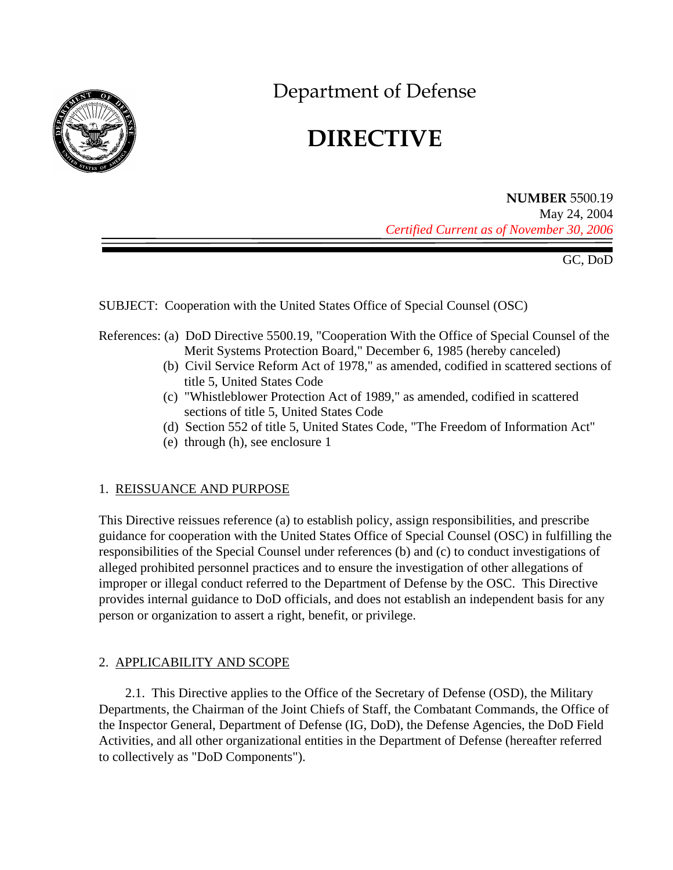

Department of Defense

# **DIRECTIVE**

# **NUMBER** 5500.19 May 24, 2004 *Certified Current as of November 30, 2006*

GC, DoD

SUBJECT: Cooperation with the United States Office of Special Counsel (OSC)

- References: (a) DoD Directive 5500.19, "Cooperation With the Office of Special Counsel of the Merit Systems Protection Board," December 6, 1985 (hereby canceled)
	- (b) Civil Service Reform Act of 1978," as amended, codified in scattered sections of title 5, United States Code
	- (c) "Whistleblower Protection Act of 1989," as amended, codified in scattered sections of title 5, United States Code
	- (d) Section 552 of title 5, United States Code, "The Freedom of Information Act"
	- (e) through (h), see enclosure 1

# 1. REISSUANCE AND PURPOSE

This Directive reissues reference (a) to establish policy, assign responsibilities, and prescribe guidance for cooperation with the United States Office of Special Counsel (OSC) in fulfilling the responsibilities of the Special Counsel under references (b) and (c) to conduct investigations of alleged prohibited personnel practices and to ensure the investigation of other allegations of improper or illegal conduct referred to the Department of Defense by the OSC. This Directive provides internal guidance to DoD officials, and does not establish an independent basis for any person or organization to assert a right, benefit, or privilege.

# 2. APPLICABILITY AND SCOPE

2.1. This Directive applies to the Office of the Secretary of Defense (OSD), the Military Departments, the Chairman of the Joint Chiefs of Staff, the Combatant Commands, the Office of the Inspector General, Department of Defense (IG, DoD), the Defense Agencies, the DoD Field Activities, and all other organizational entities in the Department of Defense (hereafter referred to collectively as "DoD Components").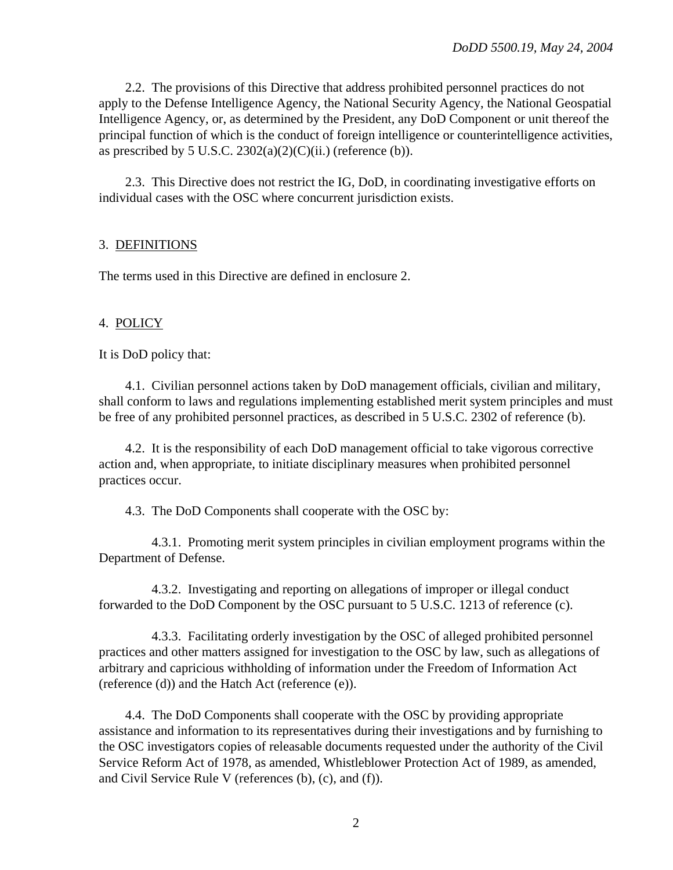2.2. The provisions of this Directive that address prohibited personnel practices do not apply to the Defense Intelligence Agency, the National Security Agency, the National Geospatial Intelligence Agency, or, as determined by the President, any DoD Component or unit thereof the principal function of which is the conduct of foreign intelligence or counterintelligence activities, as prescribed by 5 U.S.C.  $2302(a)(2)(C)(ii)$  (reference (b)).

2.3. This Directive does not restrict the IG, DoD, in coordinating investigative efforts on individual cases with the OSC where concurrent jurisdiction exists.

## 3. DEFINITIONS

The terms used in this Directive are defined in enclosure 2.

#### 4. POLICY

It is DoD policy that:

4.1. Civilian personnel actions taken by DoD management officials, civilian and military, shall conform to laws and regulations implementing established merit system principles and must be free of any prohibited personnel practices, as described in 5 U.S.C. 2302 of reference (b).

4.2. It is the responsibility of each DoD management official to take vigorous corrective action and, when appropriate, to initiate disciplinary measures when prohibited personnel practices occur.

4.3. The DoD Components shall cooperate with the OSC by:

4.3.1. Promoting merit system principles in civilian employment programs within the Department of Defense.

4.3.2. Investigating and reporting on allegations of improper or illegal conduct forwarded to the DoD Component by the OSC pursuant to 5 U.S.C. 1213 of reference (c).

4.3.3. Facilitating orderly investigation by the OSC of alleged prohibited personnel practices and other matters assigned for investigation to the OSC by law, such as allegations of arbitrary and capricious withholding of information under the Freedom of Information Act (reference (d)) and the Hatch Act (reference (e)).

4.4. The DoD Components shall cooperate with the OSC by providing appropriate assistance and information to its representatives during their investigations and by furnishing to the OSC investigators copies of releasable documents requested under the authority of the Civil Service Reform Act of 1978, as amended, Whistleblower Protection Act of 1989, as amended, and Civil Service Rule V (references (b), (c), and (f)).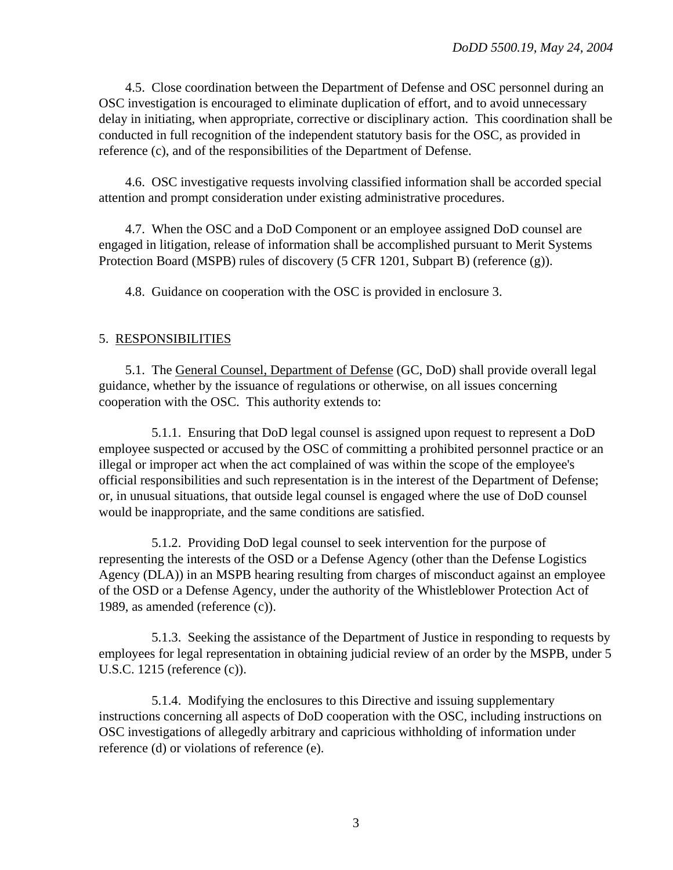4.5. Close coordination between the Department of Defense and OSC personnel during an OSC investigation is encouraged to eliminate duplication of effort, and to avoid unnecessary delay in initiating, when appropriate, corrective or disciplinary action. This coordination shall be conducted in full recognition of the independent statutory basis for the OSC, as provided in reference (c), and of the responsibilities of the Department of Defense.

4.6. OSC investigative requests involving classified information shall be accorded special attention and prompt consideration under existing administrative procedures.

4.7. When the OSC and a DoD Component or an employee assigned DoD counsel are engaged in litigation, release of information shall be accomplished pursuant to Merit Systems Protection Board (MSPB) rules of discovery (5 CFR 1201, Subpart B) (reference (g)).

4.8. Guidance on cooperation with the OSC is provided in enclosure 3.

#### 5. RESPONSIBILITIES

5.1. The General Counsel, Department of Defense (GC, DoD) shall provide overall legal guidance, whether by the issuance of regulations or otherwise, on all issues concerning cooperation with the OSC. This authority extends to:

5.1.1. Ensuring that DoD legal counsel is assigned upon request to represent a DoD employee suspected or accused by the OSC of committing a prohibited personnel practice or an illegal or improper act when the act complained of was within the scope of the employee's official responsibilities and such representation is in the interest of the Department of Defense; or, in unusual situations, that outside legal counsel is engaged where the use of DoD counsel would be inappropriate, and the same conditions are satisfied.

5.1.2. Providing DoD legal counsel to seek intervention for the purpose of representing the interests of the OSD or a Defense Agency (other than the Defense Logistics Agency (DLA)) in an MSPB hearing resulting from charges of misconduct against an employee of the OSD or a Defense Agency, under the authority of the Whistleblower Protection Act of 1989, as amended (reference (c)).

5.1.3. Seeking the assistance of the Department of Justice in responding to requests by employees for legal representation in obtaining judicial review of an order by the MSPB, under 5 U.S.C. 1215 (reference (c)).

5.1.4. Modifying the enclosures to this Directive and issuing supplementary instructions concerning all aspects of DoD cooperation with the OSC, including instructions on OSC investigations of allegedly arbitrary and capricious withholding of information under reference (d) or violations of reference (e).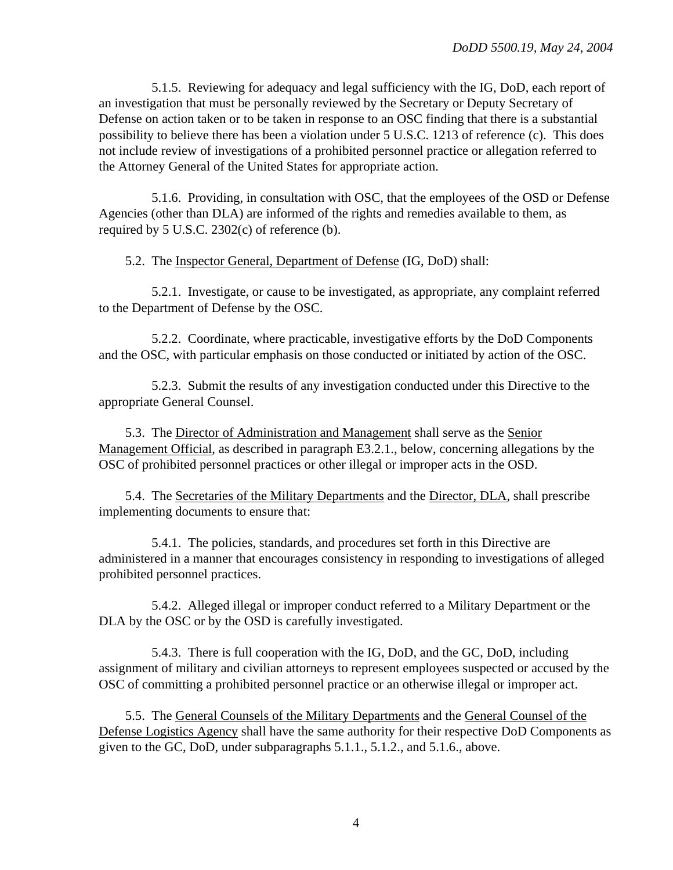5.1.5. Reviewing for adequacy and legal sufficiency with the IG, DoD, each report of an investigation that must be personally reviewed by the Secretary or Deputy Secretary of Defense on action taken or to be taken in response to an OSC finding that there is a substantial possibility to believe there has been a violation under 5 U.S.C. 1213 of reference (c). This does not include review of investigations of a prohibited personnel practice or allegation referred to the Attorney General of the United States for appropriate action.

5.1.6. Providing, in consultation with OSC, that the employees of the OSD or Defense Agencies (other than DLA) are informed of the rights and remedies available to them, as required by 5 U.S.C. 2302(c) of reference (b).

5.2. The Inspector General, Department of Defense (IG, DoD) shall:

5.2.1. Investigate, or cause to be investigated, as appropriate, any complaint referred to the Department of Defense by the OSC.

5.2.2. Coordinate, where practicable, investigative efforts by the DoD Components and the OSC, with particular emphasis on those conducted or initiated by action of the OSC.

5.2.3. Submit the results of any investigation conducted under this Directive to the appropriate General Counsel.

5.3. The Director of Administration and Management shall serve as the Senior Management Official, as described in paragraph E3.2.1., below, concerning allegations by the OSC of prohibited personnel practices or other illegal or improper acts in the OSD.

5.4. The Secretaries of the Military Departments and the Director, DLA, shall prescribe implementing documents to ensure that:

5.4.1. The policies, standards, and procedures set forth in this Directive are administered in a manner that encourages consistency in responding to investigations of alleged prohibited personnel practices.

5.4.2. Alleged illegal or improper conduct referred to a Military Department or the DLA by the OSC or by the OSD is carefully investigated.

5.4.3. There is full cooperation with the IG, DoD, and the GC, DoD, including assignment of military and civilian attorneys to represent employees suspected or accused by the OSC of committing a prohibited personnel practice or an otherwise illegal or improper act.

5.5. The General Counsels of the Military Departments and the General Counsel of the Defense Logistics Agency shall have the same authority for their respective DoD Components as given to the GC, DoD, under subparagraphs 5.1.1., 5.1.2., and 5.1.6., above.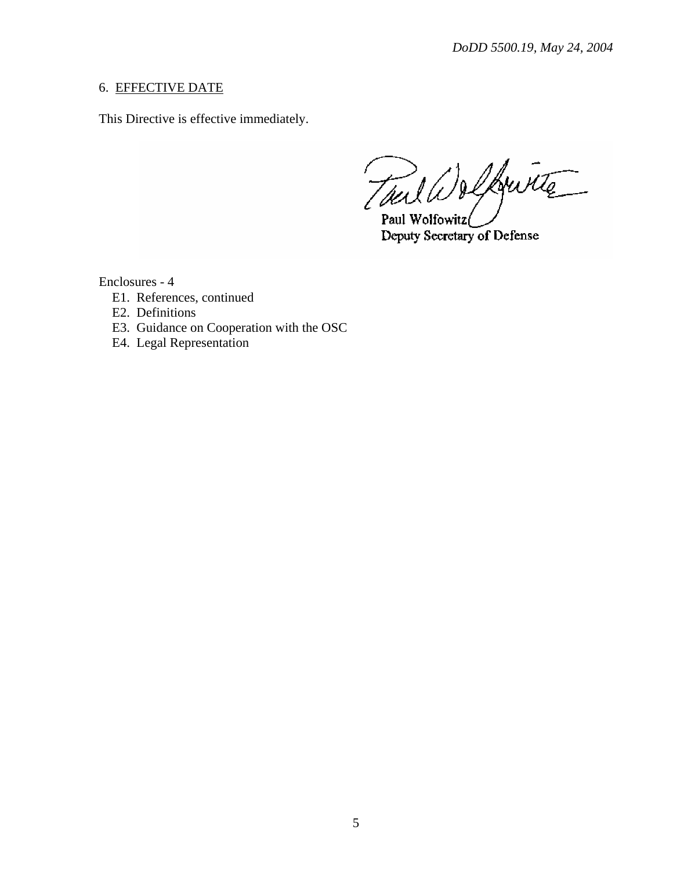## 6. EFFECTIVE DATE

This Directive is effective immediately.

Tail Welkwitz .<br>Paul Wolfowitz(

Deputy Secretary of Defense

Enclosures - 4

- E1. References, continued
- E2. Definitions
- E3. Guidance on Cooperation with the OSC
- E4. Legal Representation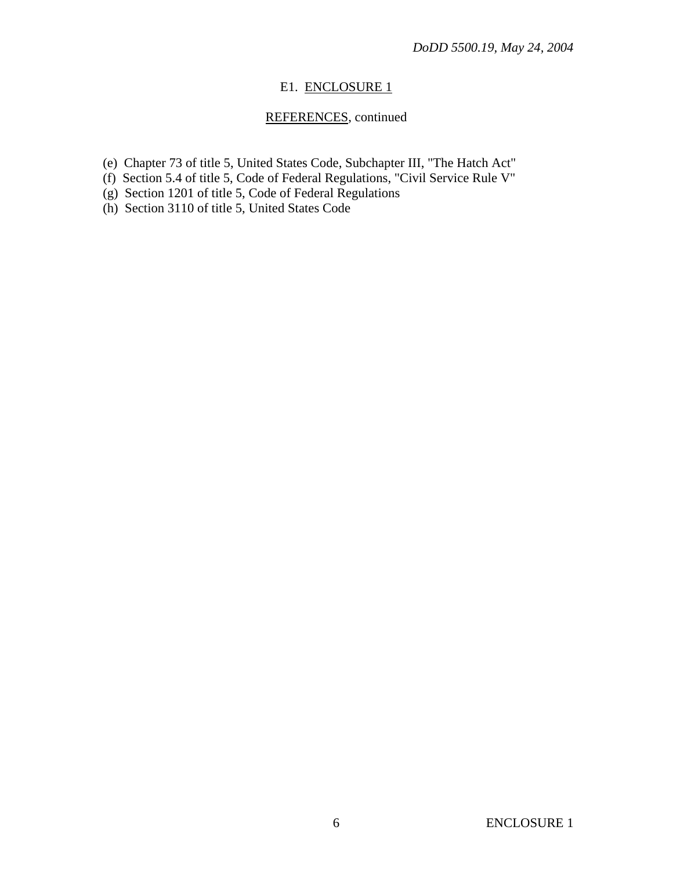## E1. ENCLOSURE 1

## REFERENCES, continued

- (e) Chapter 73 of title 5, United States Code, Subchapter III, "The Hatch Act"
- (f) Section 5.4 of title 5, Code of Federal Regulations, "Civil Service Rule V"
- (g) Section 1201 of title 5, Code of Federal Regulations
- (h) Section 3110 of title 5, United States Code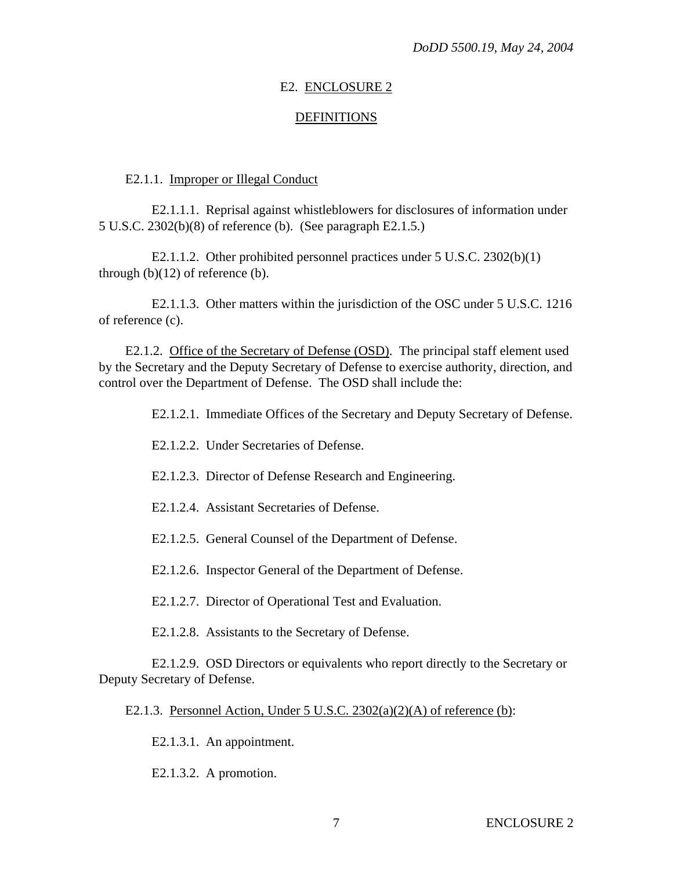### E2. ENCLOSURE 2

### DEFINITIONS

#### E2.1.1. Improper or Illegal Conduct

E2.1.1.1. Reprisal against whistleblowers for disclosures of information under 5 U.S.C. 2302(b)(8) of reference (b). (See paragraph E2.1.5.)

E2.1.1.2. Other prohibited personnel practices under 5 U.S.C. 2302(b)(1) through  $(b)(12)$  of reference  $(b)$ .

E2.1.1.3. Other matters within the jurisdiction of the OSC under 5 U.S.C. 1216 of reference (c).

E2.1.2. Office of the Secretary of Defense (OSD). The principal staff element used by the Secretary and the Deputy Secretary of Defense to exercise authority, direction, and control over the Department of Defense. The OSD shall include the:

E2.1.2.1. Immediate Offices of the Secretary and Deputy Secretary of Defense.

- E2.1.2.2. Under Secretaries of Defense.
- E2.1.2.3. Director of Defense Research and Engineering.
- E2.1.2.4. Assistant Secretaries of Defense.
- E2.1.2.5. General Counsel of the Department of Defense.
- E2.1.2.6. Inspector General of the Department of Defense.
- E2.1.2.7. Director of Operational Test and Evaluation.
- E2.1.2.8. Assistants to the Secretary of Defense.

E2.1.2.9. OSD Directors or equivalents who report directly to the Secretary or Deputy Secretary of Defense.

E2.1.3. Personnel Action, Under 5 U.S.C.  $2302(a)(2)(A)$  of reference (b):

E2.1.3.1. An appointment.

E2.1.3.2. A promotion.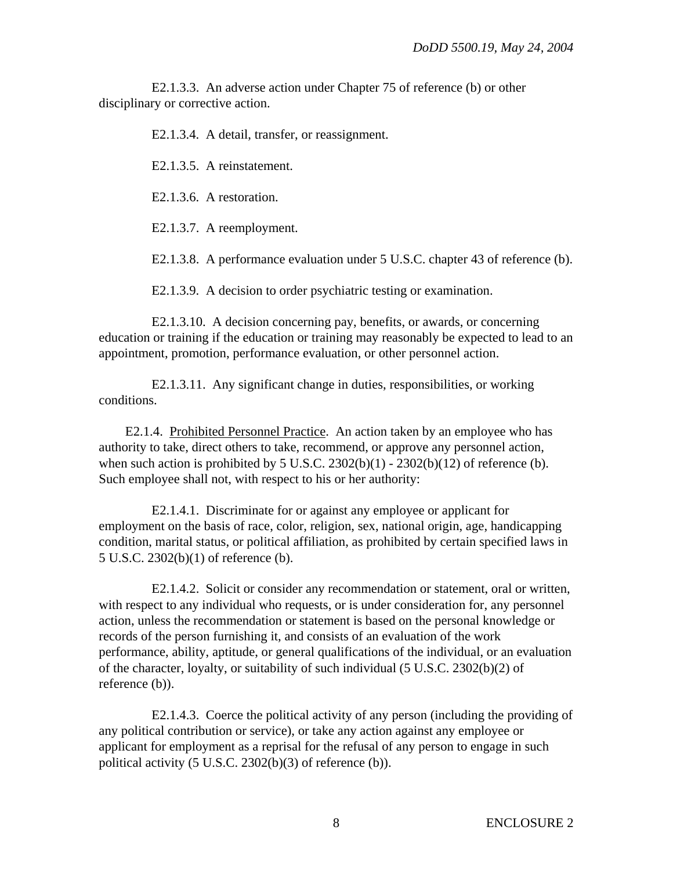E2.1.3.3. An adverse action under Chapter 75 of reference (b) or other disciplinary or corrective action.

E2.1.3.4. A detail, transfer, or reassignment.

E2.1.3.5. A reinstatement.

E2.1.3.6. A restoration.

E2.1.3.7. A reemployment.

E2.1.3.8. A performance evaluation under 5 U.S.C. chapter 43 of reference (b).

E2.1.3.9. A decision to order psychiatric testing or examination.

E2.1.3.10. A decision concerning pay, benefits, or awards, or concerning education or training if the education or training may reasonably be expected to lead to an appointment, promotion, performance evaluation, or other personnel action.

E2.1.3.11. Any significant change in duties, responsibilities, or working conditions.

E2.1.4. Prohibited Personnel Practice. An action taken by an employee who has authority to take, direct others to take, recommend, or approve any personnel action, when such action is prohibited by 5 U.S.C.  $2302(b)(1) - 2302(b)(12)$  of reference (b). Such employee shall not, with respect to his or her authority:

E2.1.4.1. Discriminate for or against any employee or applicant for employment on the basis of race, color, religion, sex, national origin, age, handicapping condition, marital status, or political affiliation, as prohibited by certain specified laws in 5 U.S.C. 2302(b)(1) of reference (b).

E2.1.4.2. Solicit or consider any recommendation or statement, oral or written, with respect to any individual who requests, or is under consideration for, any personnel action, unless the recommendation or statement is based on the personal knowledge or records of the person furnishing it, and consists of an evaluation of the work performance, ability, aptitude, or general qualifications of the individual, or an evaluation of the character, loyalty, or suitability of such individual (5 U.S.C. 2302(b)(2) of reference (b)).

E2.1.4.3. Coerce the political activity of any person (including the providing of any political contribution or service), or take any action against any employee or applicant for employment as a reprisal for the refusal of any person to engage in such political activity (5 U.S.C. 2302(b)(3) of reference (b)).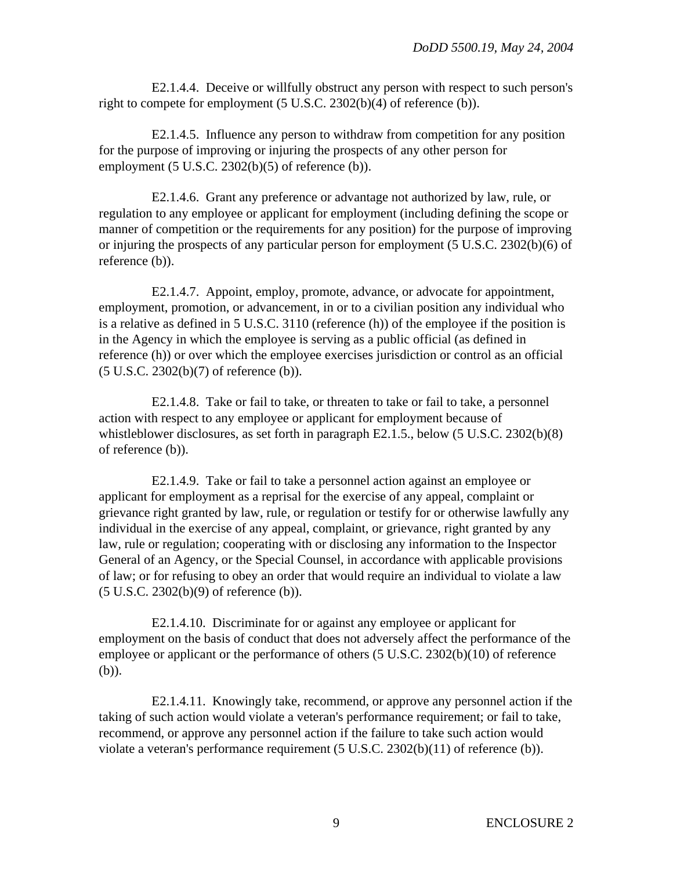E2.1.4.4. Deceive or willfully obstruct any person with respect to such person's right to compete for employment (5 U.S.C. 2302(b)(4) of reference (b)).

E2.1.4.5. Influence any person to withdraw from competition for any position for the purpose of improving or injuring the prospects of any other person for employment (5 U.S.C. 2302(b)(5) of reference (b)).

E2.1.4.6. Grant any preference or advantage not authorized by law, rule, or regulation to any employee or applicant for employment (including defining the scope or manner of competition or the requirements for any position) for the purpose of improving or injuring the prospects of any particular person for employment (5 U.S.C. 2302(b)(6) of reference (b)).

E2.1.4.7. Appoint, employ, promote, advance, or advocate for appointment, employment, promotion, or advancement, in or to a civilian position any individual who is a relative as defined in 5 U.S.C. 3110 (reference (h)) of the employee if the position is in the Agency in which the employee is serving as a public official (as defined in reference (h)) or over which the employee exercises jurisdiction or control as an official (5 U.S.C. 2302(b)(7) of reference (b)).

E2.1.4.8. Take or fail to take, or threaten to take or fail to take, a personnel action with respect to any employee or applicant for employment because of whistleblower disclosures, as set forth in paragraph E2.1.5., below (5 U.S.C. 2302(b)(8) of reference (b)).

E2.1.4.9. Take or fail to take a personnel action against an employee or applicant for employment as a reprisal for the exercise of any appeal, complaint or grievance right granted by law, rule, or regulation or testify for or otherwise lawfully any individual in the exercise of any appeal, complaint, or grievance, right granted by any law, rule or regulation; cooperating with or disclosing any information to the Inspector General of an Agency, or the Special Counsel, in accordance with applicable provisions of law; or for refusing to obey an order that would require an individual to violate a law (5 U.S.C. 2302(b)(9) of reference (b)).

E2.1.4.10. Discriminate for or against any employee or applicant for employment on the basis of conduct that does not adversely affect the performance of the employee or applicant or the performance of others (5 U.S.C. 2302(b)(10) of reference (b)).

E2.1.4.11. Knowingly take, recommend, or approve any personnel action if the taking of such action would violate a veteran's performance requirement; or fail to take, recommend, or approve any personnel action if the failure to take such action would violate a veteran's performance requirement (5 U.S.C. 2302(b)(11) of reference (b)).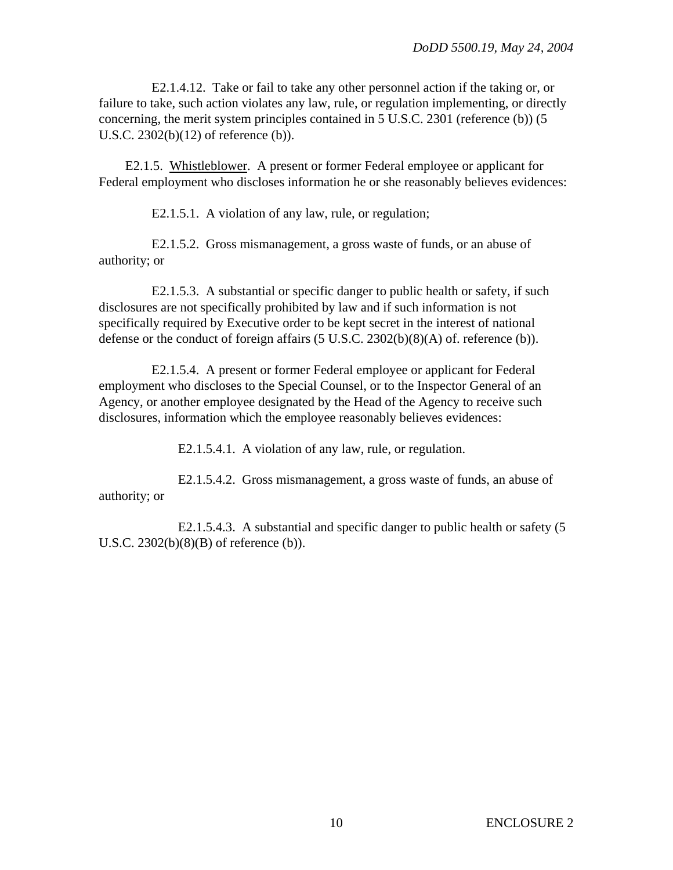E2.1.4.12. Take or fail to take any other personnel action if the taking or, or failure to take, such action violates any law, rule, or regulation implementing, or directly concerning, the merit system principles contained in 5 U.S.C. 2301 (reference (b)) (5 U.S.C. 2302(b)(12) of reference (b)).

E2.1.5. Whistleblower. A present or former Federal employee or applicant for Federal employment who discloses information he or she reasonably believes evidences:

E2.1.5.1. A violation of any law, rule, or regulation;

E2.1.5.2. Gross mismanagement, a gross waste of funds, or an abuse of authority; or

E2.1.5.3. A substantial or specific danger to public health or safety, if such disclosures are not specifically prohibited by law and if such information is not specifically required by Executive order to be kept secret in the interest of national defense or the conduct of foreign affairs (5 U.S.C. 2302(b)(8)(A) of. reference (b)).

E2.1.5.4. A present or former Federal employee or applicant for Federal employment who discloses to the Special Counsel, or to the Inspector General of an Agency, or another employee designated by the Head of the Agency to receive such disclosures, information which the employee reasonably believes evidences:

E2.1.5.4.1. A violation of any law, rule, or regulation.

E2.1.5.4.2. Gross mismanagement, a gross waste of funds, an abuse of authority; or

E2.1.5.4.3. A substantial and specific danger to public health or safety (5 U.S.C. 2302(b)(8)(B) of reference (b)).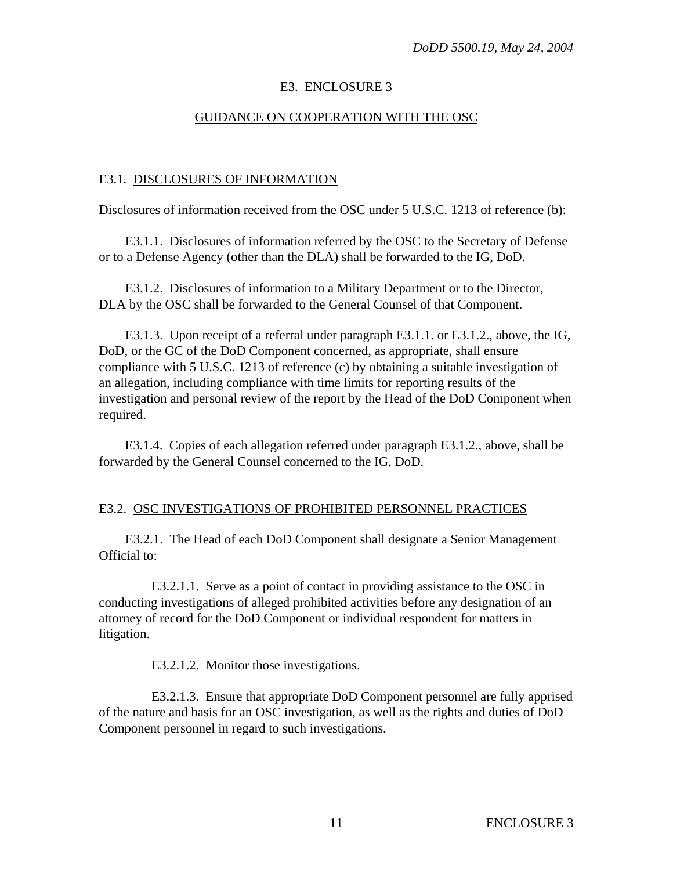## E3. ENCLOSURE 3

### GUIDANCE ON COOPERATION WITH THE OSC

#### E3.1. DISCLOSURES OF INFORMATION

Disclosures of information received from the OSC under 5 U.S.C. 1213 of reference (b):

E3.1.1. Disclosures of information referred by the OSC to the Secretary of Defense or to a Defense Agency (other than the DLA) shall be forwarded to the IG, DoD.

E3.1.2. Disclosures of information to a Military Department or to the Director, DLA by the OSC shall be forwarded to the General Counsel of that Component.

E3.1.3. Upon receipt of a referral under paragraph E3.1.1. or E3.1.2., above, the IG, DoD, or the GC of the DoD Component concerned, as appropriate, shall ensure compliance with 5 U.S.C. 1213 of reference (c) by obtaining a suitable investigation of an allegation, including compliance with time limits for reporting results of the investigation and personal review of the report by the Head of the DoD Component when required.

E3.1.4. Copies of each allegation referred under paragraph E3.1.2., above, shall be forwarded by the General Counsel concerned to the IG, DoD.

#### E3.2. OSC INVESTIGATIONS OF PROHIBITED PERSONNEL PRACTICES

E3.2.1. The Head of each DoD Component shall designate a Senior Management Official to:

E3.2.1.1. Serve as a point of contact in providing assistance to the OSC in conducting investigations of alleged prohibited activities before any designation of an attorney of record for the DoD Component or individual respondent for matters in litigation.

E3.2.1.2. Monitor those investigations.

E3.2.1.3. Ensure that appropriate DoD Component personnel are fully apprised of the nature and basis for an OSC investigation, as well as the rights and duties of DoD Component personnel in regard to such investigations.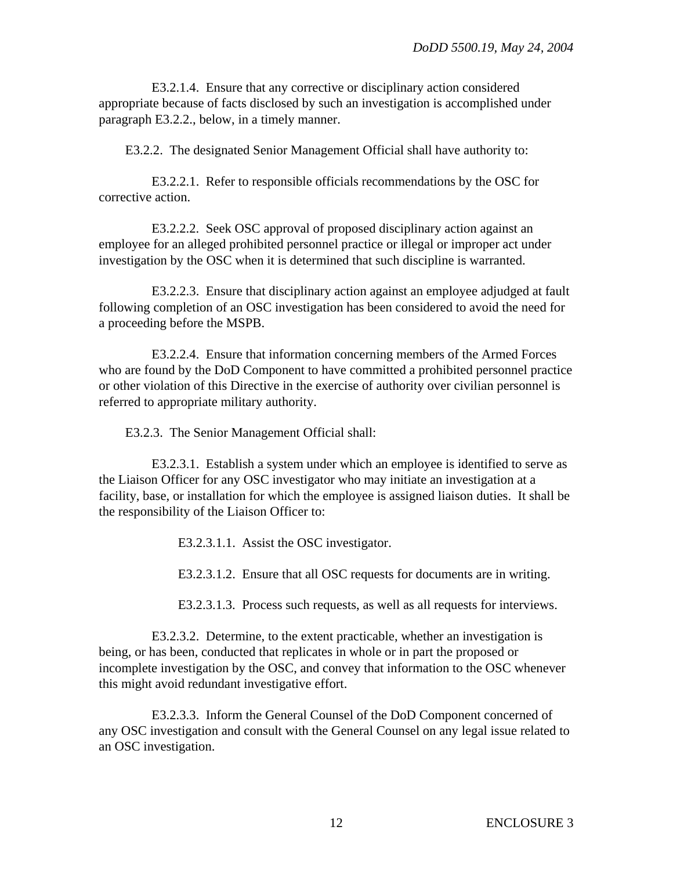E3.2.1.4. Ensure that any corrective or disciplinary action considered appropriate because of facts disclosed by such an investigation is accomplished under paragraph E3.2.2., below, in a timely manner.

E3.2.2. The designated Senior Management Official shall have authority to:

E3.2.2.1. Refer to responsible officials recommendations by the OSC for corrective action.

E3.2.2.2. Seek OSC approval of proposed disciplinary action against an employee for an alleged prohibited personnel practice or illegal or improper act under investigation by the OSC when it is determined that such discipline is warranted.

E3.2.2.3. Ensure that disciplinary action against an employee adjudged at fault following completion of an OSC investigation has been considered to avoid the need for a proceeding before the MSPB.

E3.2.2.4. Ensure that information concerning members of the Armed Forces who are found by the DoD Component to have committed a prohibited personnel practice or other violation of this Directive in the exercise of authority over civilian personnel is referred to appropriate military authority.

E3.2.3. The Senior Management Official shall:

E3.2.3.1. Establish a system under which an employee is identified to serve as the Liaison Officer for any OSC investigator who may initiate an investigation at a facility, base, or installation for which the employee is assigned liaison duties. It shall be the responsibility of the Liaison Officer to:

E3.2.3.1.1. Assist the OSC investigator.

E3.2.3.1.2. Ensure that all OSC requests for documents are in writing.

E3.2.3.1.3. Process such requests, as well as all requests for interviews.

E3.2.3.2. Determine, to the extent practicable, whether an investigation is being, or has been, conducted that replicates in whole or in part the proposed or incomplete investigation by the OSC, and convey that information to the OSC whenever this might avoid redundant investigative effort.

E3.2.3.3. Inform the General Counsel of the DoD Component concerned of any OSC investigation and consult with the General Counsel on any legal issue related to an OSC investigation.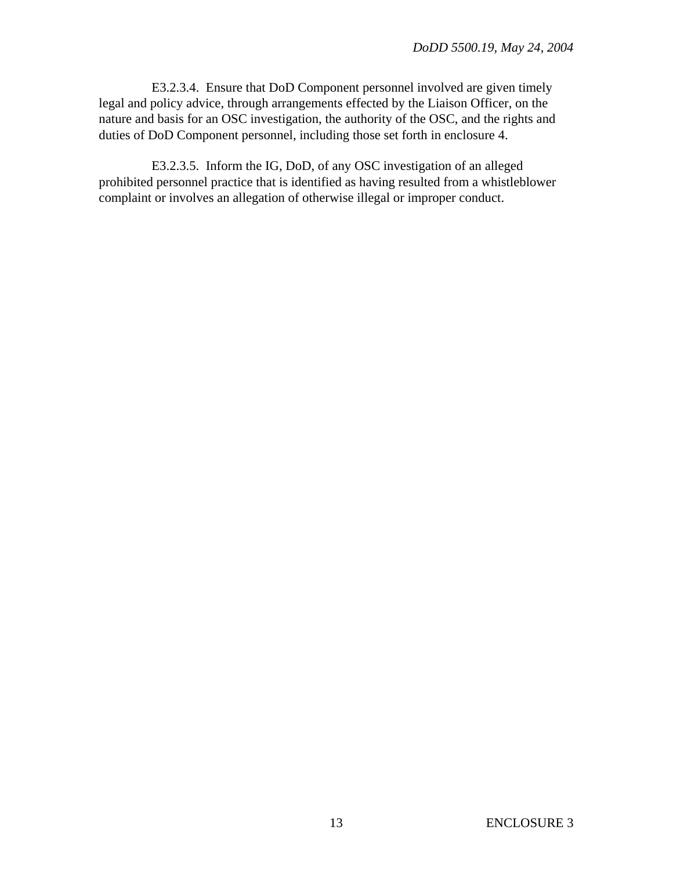E3.2.3.4. Ensure that DoD Component personnel involved are given timely legal and policy advice, through arrangements effected by the Liaison Officer, on the nature and basis for an OSC investigation, the authority of the OSC, and the rights and duties of DoD Component personnel, including those set forth in enclosure 4.

E3.2.3.5. Inform the IG, DoD, of any OSC investigation of an alleged prohibited personnel practice that is identified as having resulted from a whistleblower complaint or involves an allegation of otherwise illegal or improper conduct.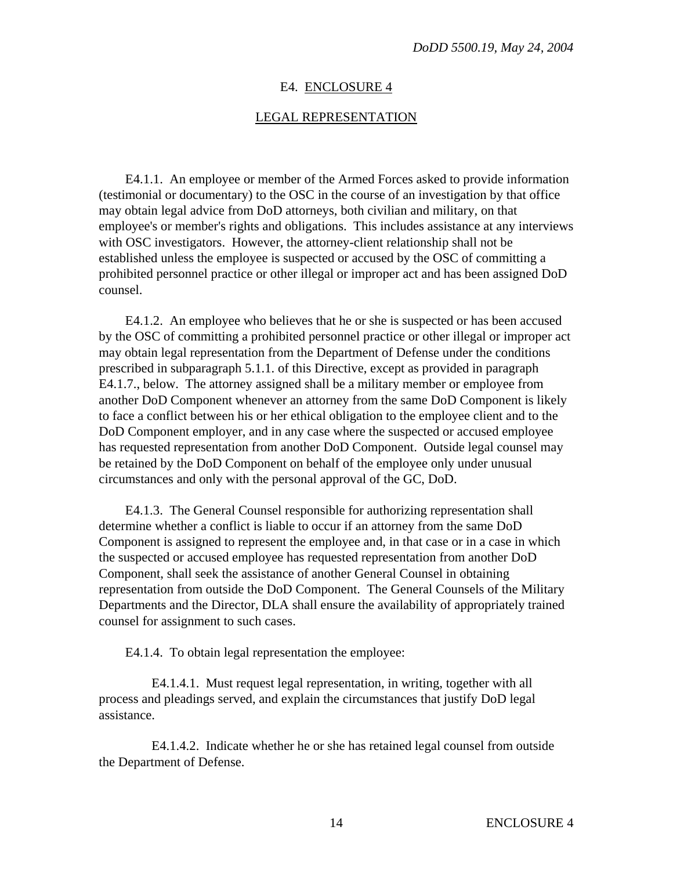#### E4. ENCLOSURE 4

#### LEGAL REPRESENTATION

E4.1.1. An employee or member of the Armed Forces asked to provide information (testimonial or documentary) to the OSC in the course of an investigation by that office may obtain legal advice from DoD attorneys, both civilian and military, on that employee's or member's rights and obligations. This includes assistance at any interviews with OSC investigators. However, the attorney-client relationship shall not be established unless the employee is suspected or accused by the OSC of committing a prohibited personnel practice or other illegal or improper act and has been assigned DoD counsel.

E4.1.2. An employee who believes that he or she is suspected or has been accused by the OSC of committing a prohibited personnel practice or other illegal or improper act may obtain legal representation from the Department of Defense under the conditions prescribed in subparagraph 5.1.1. of this Directive, except as provided in paragraph E4.1.7., below. The attorney assigned shall be a military member or employee from another DoD Component whenever an attorney from the same DoD Component is likely to face a conflict between his or her ethical obligation to the employee client and to the DoD Component employer, and in any case where the suspected or accused employee has requested representation from another DoD Component. Outside legal counsel may be retained by the DoD Component on behalf of the employee only under unusual circumstances and only with the personal approval of the GC, DoD.

E4.1.3. The General Counsel responsible for authorizing representation shall determine whether a conflict is liable to occur if an attorney from the same DoD Component is assigned to represent the employee and, in that case or in a case in which the suspected or accused employee has requested representation from another DoD Component, shall seek the assistance of another General Counsel in obtaining representation from outside the DoD Component. The General Counsels of the Military Departments and the Director, DLA shall ensure the availability of appropriately trained counsel for assignment to such cases.

E4.1.4. To obtain legal representation the employee:

E4.1.4.1. Must request legal representation, in writing, together with all process and pleadings served, and explain the circumstances that justify DoD legal assistance.

E4.1.4.2. Indicate whether he or she has retained legal counsel from outside the Department of Defense.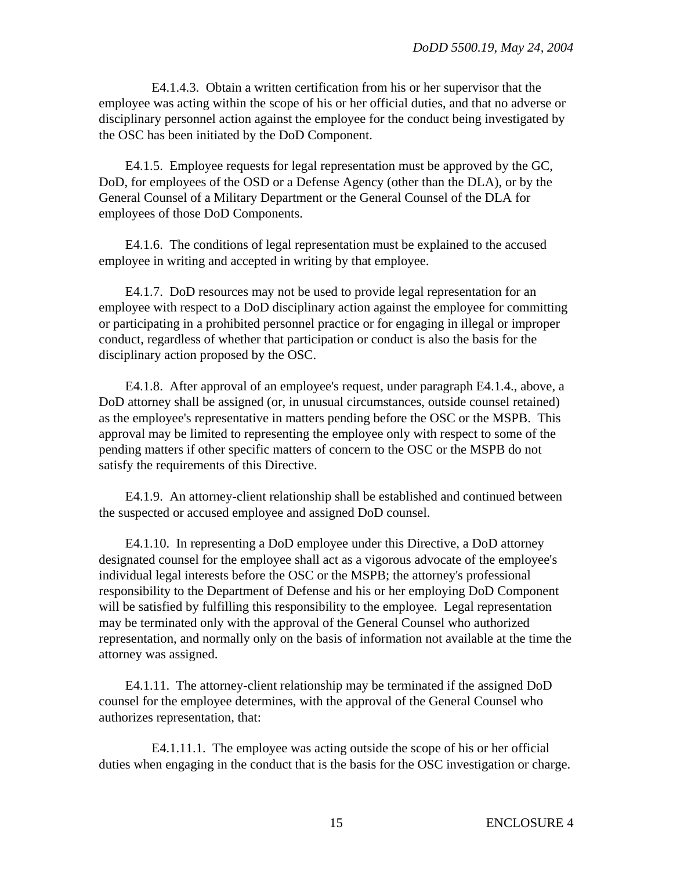E4.1.4.3. Obtain a written certification from his or her supervisor that the employee was acting within the scope of his or her official duties, and that no adverse or disciplinary personnel action against the employee for the conduct being investigated by the OSC has been initiated by the DoD Component.

E4.1.5. Employee requests for legal representation must be approved by the GC, DoD, for employees of the OSD or a Defense Agency (other than the DLA), or by the General Counsel of a Military Department or the General Counsel of the DLA for employees of those DoD Components.

E4.1.6. The conditions of legal representation must be explained to the accused employee in writing and accepted in writing by that employee.

E4.1.7. DoD resources may not be used to provide legal representation for an employee with respect to a DoD disciplinary action against the employee for committing or participating in a prohibited personnel practice or for engaging in illegal or improper conduct, regardless of whether that participation or conduct is also the basis for the disciplinary action proposed by the OSC.

E4.1.8. After approval of an employee's request, under paragraph E4.1.4., above, a DoD attorney shall be assigned (or, in unusual circumstances, outside counsel retained) as the employee's representative in matters pending before the OSC or the MSPB. This approval may be limited to representing the employee only with respect to some of the pending matters if other specific matters of concern to the OSC or the MSPB do not satisfy the requirements of this Directive.

E4.1.9. An attorney-client relationship shall be established and continued between the suspected or accused employee and assigned DoD counsel.

E4.1.10. In representing a DoD employee under this Directive, a DoD attorney designated counsel for the employee shall act as a vigorous advocate of the employee's individual legal interests before the OSC or the MSPB; the attorney's professional responsibility to the Department of Defense and his or her employing DoD Component will be satisfied by fulfilling this responsibility to the employee. Legal representation may be terminated only with the approval of the General Counsel who authorized representation, and normally only on the basis of information not available at the time the attorney was assigned.

E4.1.11. The attorney-client relationship may be terminated if the assigned DoD counsel for the employee determines, with the approval of the General Counsel who authorizes representation, that:

E4.1.11.1. The employee was acting outside the scope of his or her official duties when engaging in the conduct that is the basis for the OSC investigation or charge.